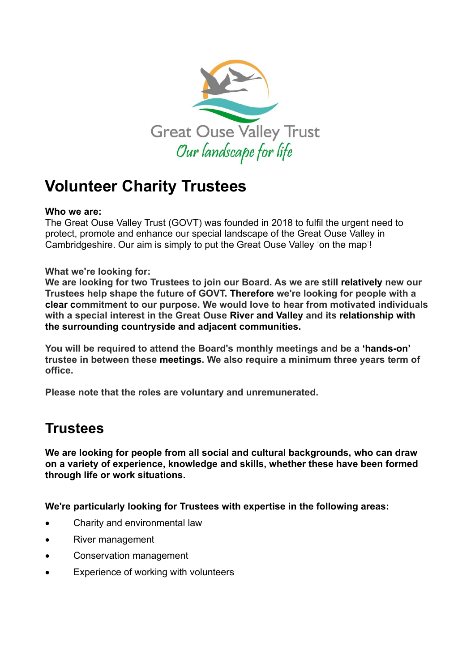

# **Volunteer Charity Trustees**

## **Who we are:**

The Great Ouse Valley Trust (GOVT) was founded in 2018 to fulfil the urgent need to protect, promote and enhance our special landscape of the Great Ouse Valley in Cambridgeshire. Our aim is simply to put the Great Ouse Valley 'on the map'!

## **What we're looking for:**

**We are looking for two Trustees to join our Board. As we are still relatively new our Trustees help shape the future of GOVT. Therefore we're looking for people with a clear commitment to our purpose. We would love to hear from motivated individuals with a special interest in the Great Ouse River and Valley and its relationship with the surrounding countryside and adjacent communities.**

**You will be required to attend the Board's monthly meetings and be a 'hands-on' trustee in between these meetings. We also require a minimum three years term of office.** 

**Please note that the roles are voluntary and unremunerated.**

# **Trustees**

**We are looking for people from all social and cultural backgrounds, who can draw on a variety of experience, knowledge and skills, whether these have been formed through life or work situations.**

**We're particularly looking for Trustees with expertise in the following areas:**

- Charity and environmental law
- River management
- Conservation management
- Experience of working with volunteers